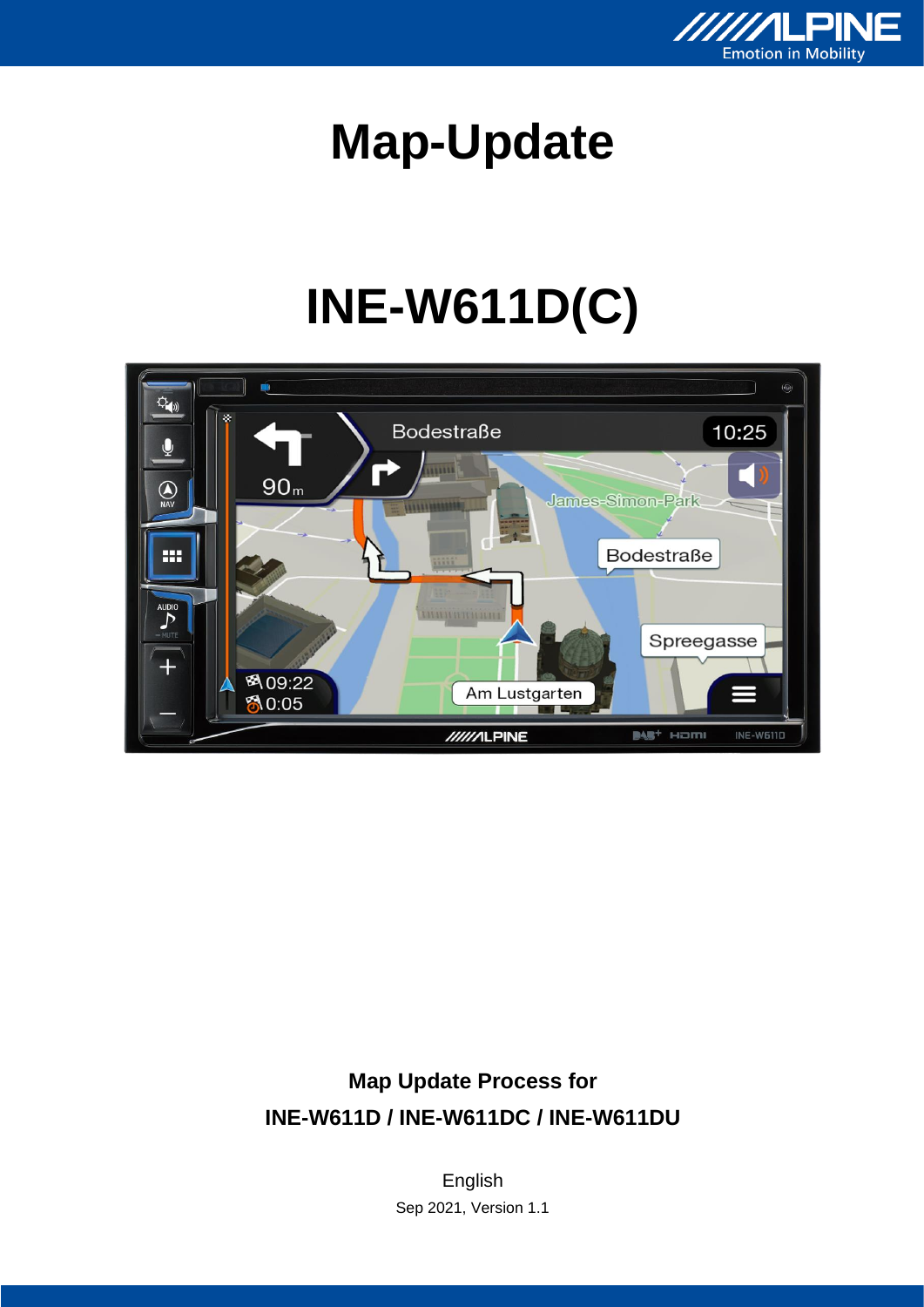

# **Map-Update**

# **INE-W611D(C)**



#### **Map Update Process for INE-W611D / INE-W611DC / INE-W611DU**

English Sep 2021, Version 1.1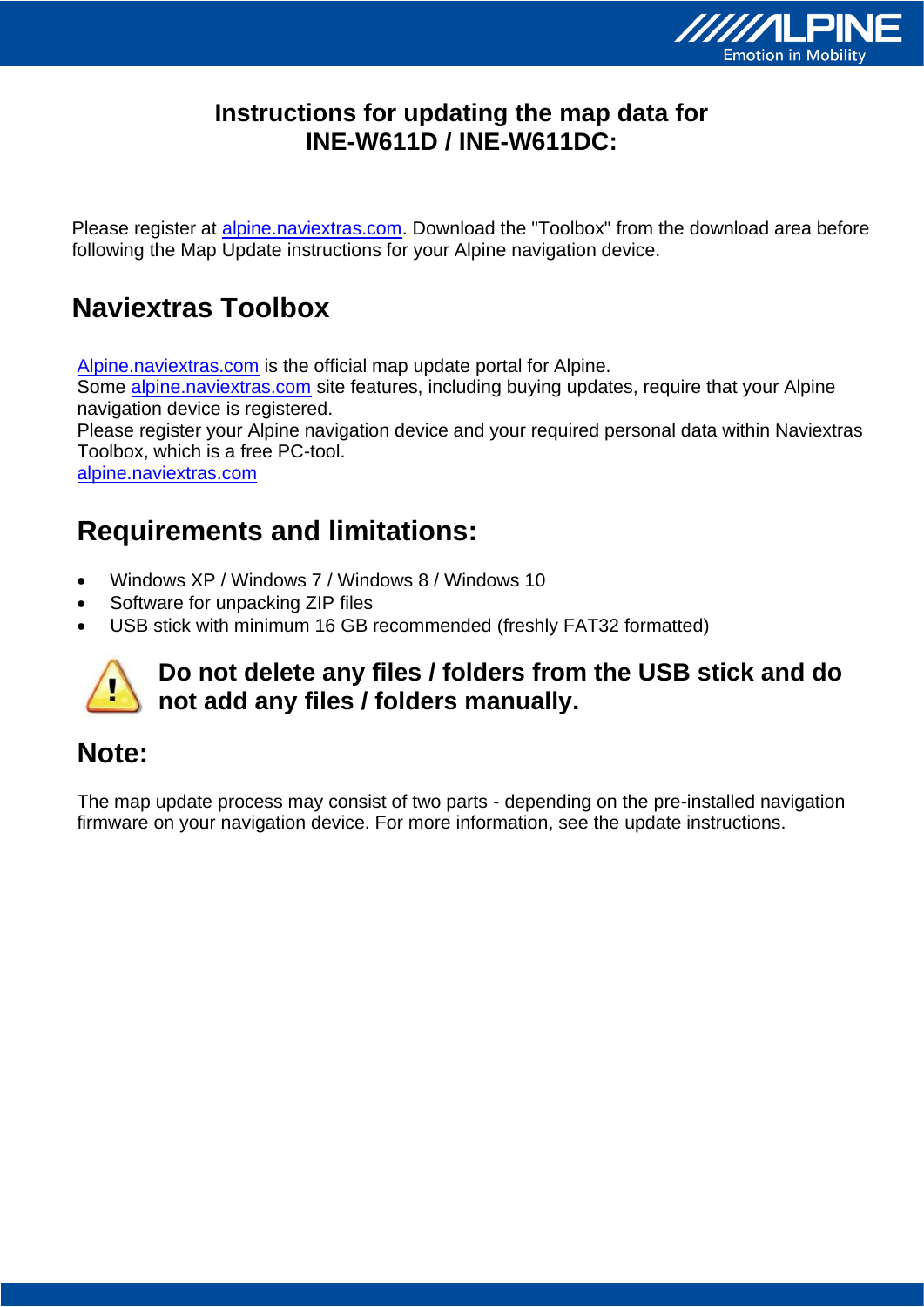

#### **Instructions for updating the map data for INE-W611D / INE-W611DC:**

Please register at alpine.naviextras.com. Download the "Toolbox" from the download area before following the Map Update instructions for your Alpine navigation device.

## **Naviextras Toolbox**

Alpine.naviextras.com is the official map update portal for Alpine.

Some alpine.naviextras.com site features, including buying updates, require that your Alpine navigation device is registered.

Please register your Alpine navigation device and your required personal data within Naviextras Toolbox, which is a free PC-tool.

[alpine.naviextras.com](http://www.alpine.naviextras.com/)

#### **Requirements and limitations:**

- Windows XP / Windows 7 / Windows 8 / Windows 10
- Software for unpacking ZIP files
- USB stick with minimum 16 GB recommended (freshly FAT32 formatted)



#### **Do not delete any files / folders from the USB stick and do not add any files / folders manually.**

#### **Note:**

The map update process may consist of two parts - depending on the pre-installed navigation firmware on your navigation device. For more information, see the update instructions.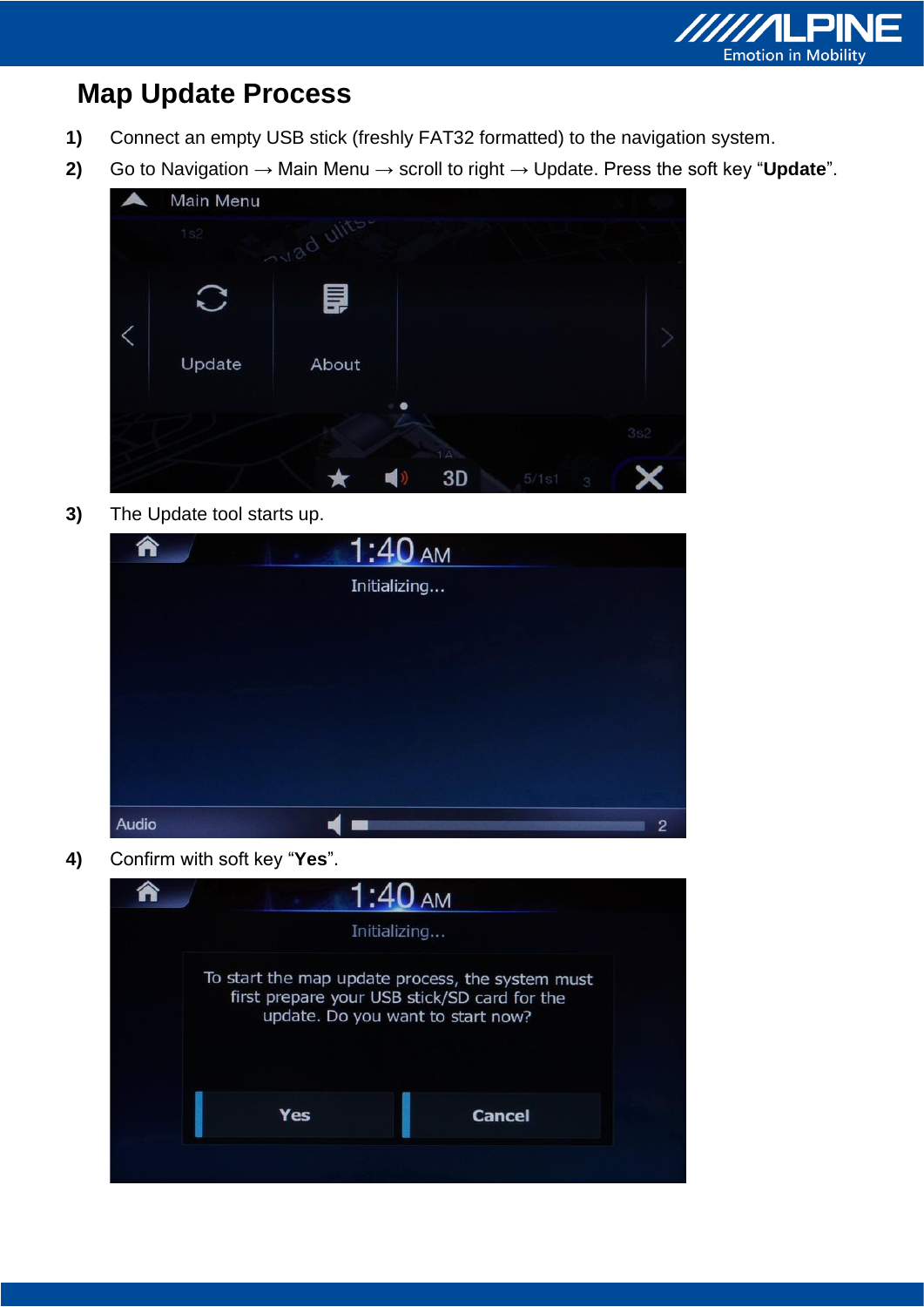

# **Map Update Process**

- **1)** Connect an empty USB stick (freshly FAT32 formatted) to the navigation system.
- **2)** Go to Navigation → Main Menu → scroll to right → Update. Press the soft key "**Update**".



**3)** The Update tool starts up.

| ₳     | 1:40 AM      |                |
|-------|--------------|----------------|
|       | Initializing |                |
|       |              |                |
|       |              |                |
|       |              |                |
|       |              |                |
|       |              |                |
| Audio |              | $\overline{2}$ |

**4)** Confirm with soft key "**Yes**".

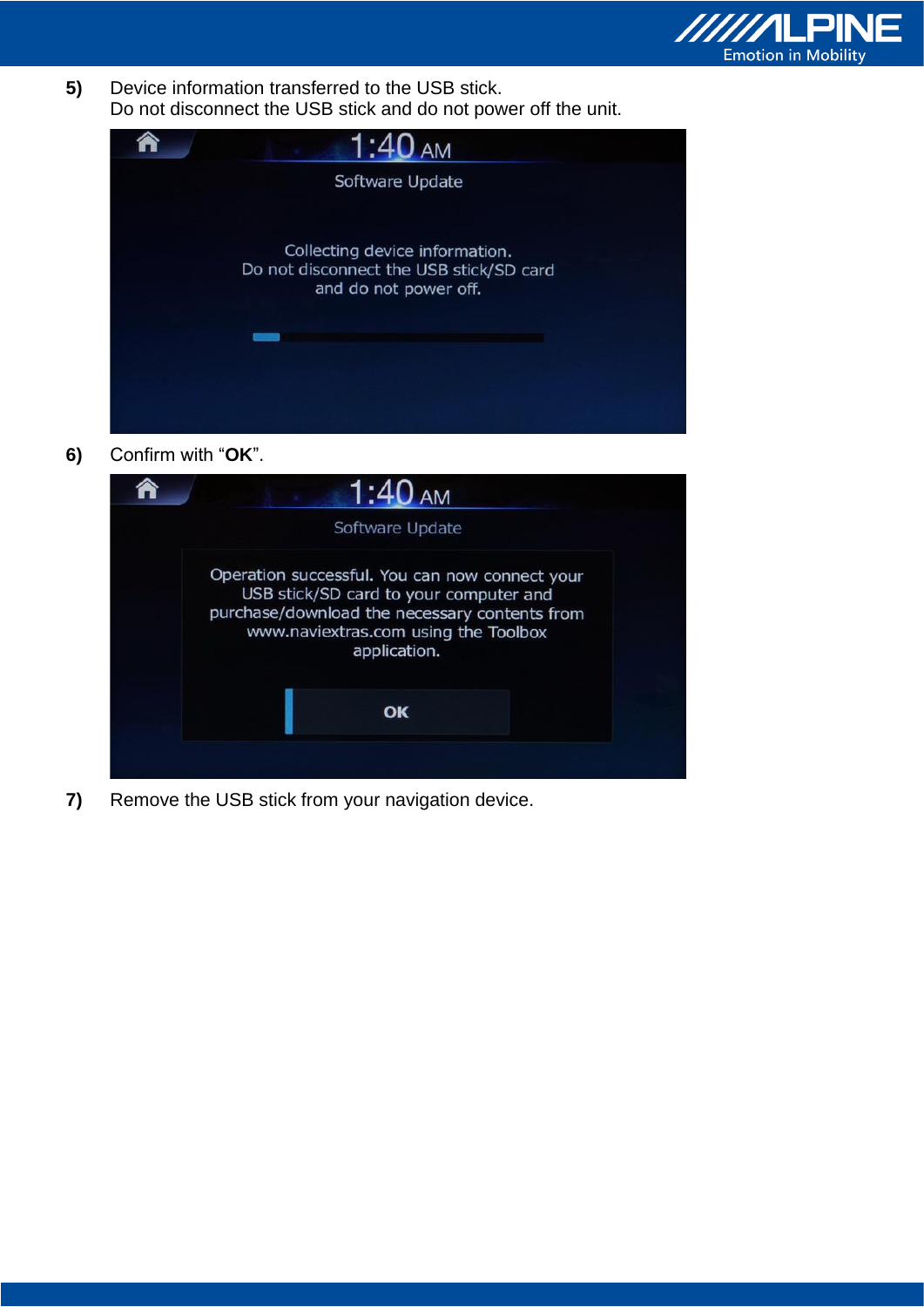

**5)** Device information transferred to the USB stick. Do not disconnect the USB stick and do not power off the unit.



**6)** Confirm with "**OK**".

| Software Update                                                                                                                                                                                   |
|---------------------------------------------------------------------------------------------------------------------------------------------------------------------------------------------------|
| Operation successful. You can now connect your<br>USB stick/SD card to your computer and<br>purchase/download the necessary contents from<br>www.naviextras.com using the Toolbox<br>application. |
| OK                                                                                                                                                                                                |

**7)** Remove the USB stick from your navigation device.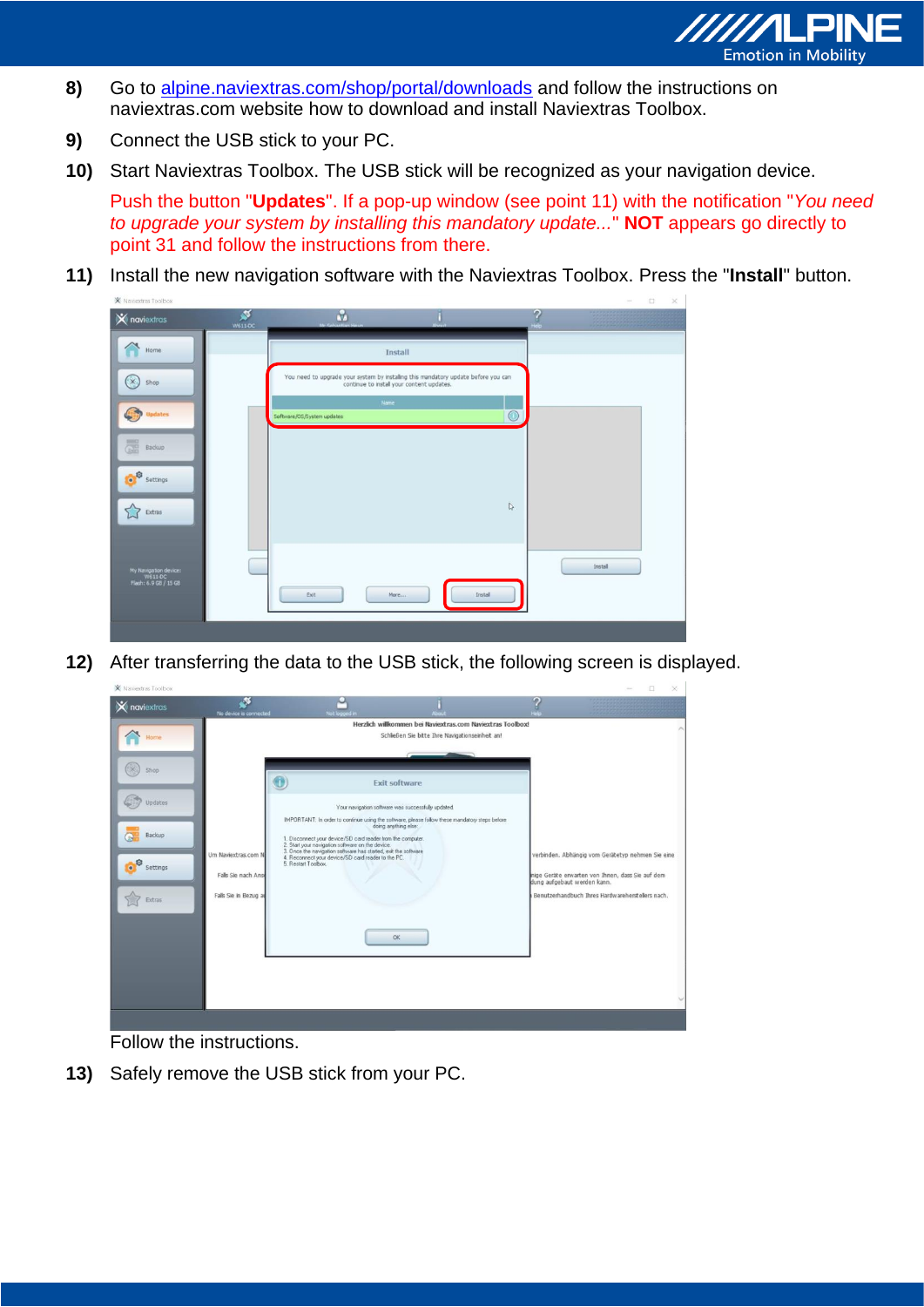

- 8) Go to alpine.naviextras.com/shop/portal/downloads and follow the instructions on naviextras.com website how to download and install Naviextras Toolbox.
- **9)** Connect the USB stick to your PC.
- **10)** Start Naviextras Toolbox. The USB stick will be recognized as your navigation device.

Push the button "**Updates**". If a pop-up window (see point 11) with the notification "*You need to upgrade your system by installing this mandatory update...*" **NOT** appears go directly to point 31 and follow the instructions from there.

**11)** Install the new navigation software with the Naviextras Toolbox. Press the "**Install**" button. X Naviextras Toolbox

| $\mathsf{\times}$ naviextras                              | ø<br>W611-DC | ů,<br>Mr Seharttan Heur                                                                                                         | About       |              | G<br>teip      |         |
|-----------------------------------------------------------|--------------|---------------------------------------------------------------------------------------------------------------------------------|-------------|--------------|----------------|---------|
| Home                                                      |              |                                                                                                                                 | Install     |              |                |         |
| $\times$<br>Shop                                          |              | You need to upgrade your system by installing this mandatory update before you can<br>continue to install your content updates. |             |              |                |         |
| <b>Updates</b>                                            |              | Software/OS/System updates                                                                                                      | <b>Name</b> |              | $\circledcirc$ |         |
| <b>all</b><br>Backup                                      |              |                                                                                                                                 |             |              |                |         |
| O<br>Settings                                             |              |                                                                                                                                 |             |              |                |         |
| Extras                                                    |              |                                                                                                                                 |             | $\mathbb{Q}$ |                |         |
|                                                           |              |                                                                                                                                 |             |              |                |         |
| My Navigation device:<br>W611-DC<br>Flash: 6.9 GB / 15 GB |              | Exit                                                                                                                            | More        | Install      |                | Install |
|                                                           |              |                                                                                                                                 |             |              |                |         |
|                                                           |              |                                                                                                                                 |             |              |                |         |

**12)** After transferring the data to the USB stick, the following screen is displayed.

| ×<br><b>X</b> naviextras<br>No device is connected                                                                                                                     | Not logged in                                                                                                                                                                                                                                                                                         |                                                                                                                                                                                                                                                                                                                             |                                                                                                                                                                                          |  |
|------------------------------------------------------------------------------------------------------------------------------------------------------------------------|-------------------------------------------------------------------------------------------------------------------------------------------------------------------------------------------------------------------------------------------------------------------------------------------------------|-----------------------------------------------------------------------------------------------------------------------------------------------------------------------------------------------------------------------------------------------------------------------------------------------------------------------------|------------------------------------------------------------------------------------------------------------------------------------------------------------------------------------------|--|
| lome<br>×<br>Shop<br>Updates<br>Backup<br>N<br>Um Naviextras.com N<br><b>O</b> <sup>o</sup><br>Settings<br>Falls Sie nach Ans<br>Falls Sie in Bezug a<br><b>Extras</b> | 1. Disconnect your device/SD card reader from the computer.<br>1. Discussions of the manipulation of the device.<br>2. Start your navigation software on the device.<br>3. Once the navigation software has started, exit the software<br>4. Reconnect your device/SD card reader to the PC.<br>5. Re | Herzlich willkommen bei Naviextras.com Naviextras Toolbox!<br>Schließen Sie bitte Ihre Navigationseinheit an!<br><b>Exit software</b><br>Your navigation software was successfully updated.<br>IMPORTANT: In order to continue using the software, please follow these mandatory steps before<br>doing anything else:<br>OK | verbinden. Abhängig vom Gerätetyp nehmen Sie eine<br>nige Geräte erwarten von Ihnen, dass Sie auf dem<br>dung aufgebaut werden kann.<br>Benutzerhandbuch Ihres Hardwareherstellers nach. |  |

Follow the instructions.

**13)** Safely remove the USB stick from your PC.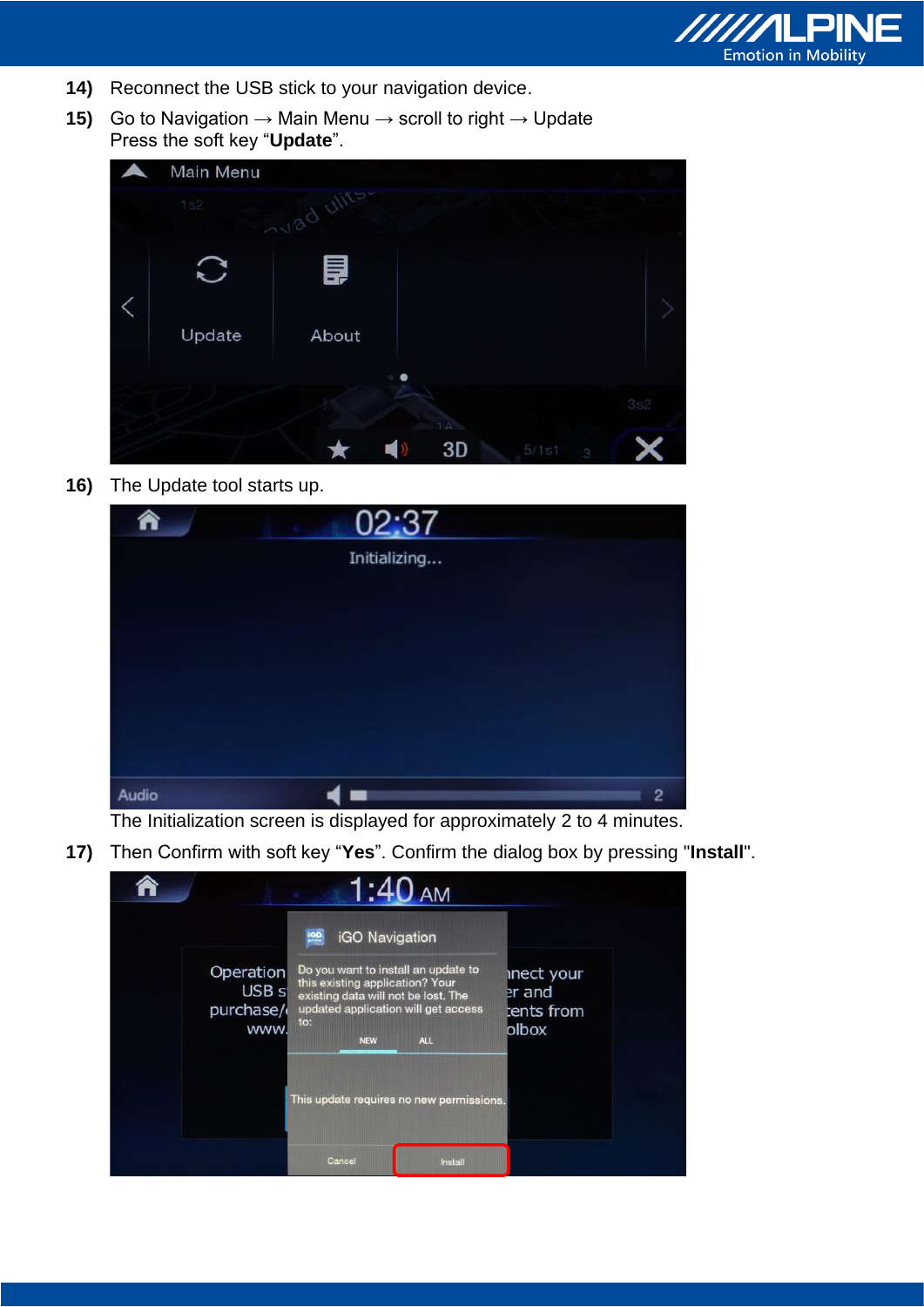

- **14)** Reconnect the USB stick to your navigation device.
- **15)** Go to Navigation → Main Menu → scroll to right → Update Press the soft key "**Update**".

| Main Menu |            |   |           |       |   |     |
|-----------|------------|---|-----------|-------|---|-----|
| 1s2       | avad ulits |   |           |       |   |     |
|           | 目          |   |           |       |   |     |
| Update    | About      |   |           |       |   |     |
|           |            | ø |           |       |   |     |
|           |            |   | $1\Delta$ |       |   | 3s2 |
|           |            |   | 3D        | 5/1s1 | 3 |     |

**16)** The Update tool starts up.

| â     | 02:37        |                |
|-------|--------------|----------------|
|       | Initializing |                |
|       |              |                |
|       |              |                |
|       |              |                |
|       |              |                |
|       |              |                |
| Audio |              | $\overline{c}$ |

The Initialization screen is displayed for approximately 2 to 4 minutes.

**17)** Then Confirm with soft key "**Yes**". Confirm the dialog box by pressing "**Install**".

|                                                           |                                                                                                                                                                                             | 1:40 AM    |                                             |  |
|-----------------------------------------------------------|---------------------------------------------------------------------------------------------------------------------------------------------------------------------------------------------|------------|---------------------------------------------|--|
| <b>Operation</b><br>USB <sub>s</sub><br>purchase/<br>www. | iGO Navigation<br>Do you want to install an update to<br>this existing application? Your<br>existing data will not be lost. The<br>updated application will get access<br>to:<br><b>NEW</b> | <b>ALL</b> | inect your<br>er and<br>tents from<br>blbox |  |
|                                                           | This update requires no new permissions.                                                                                                                                                    |            |                                             |  |
|                                                           | Cancel                                                                                                                                                                                      | Install    |                                             |  |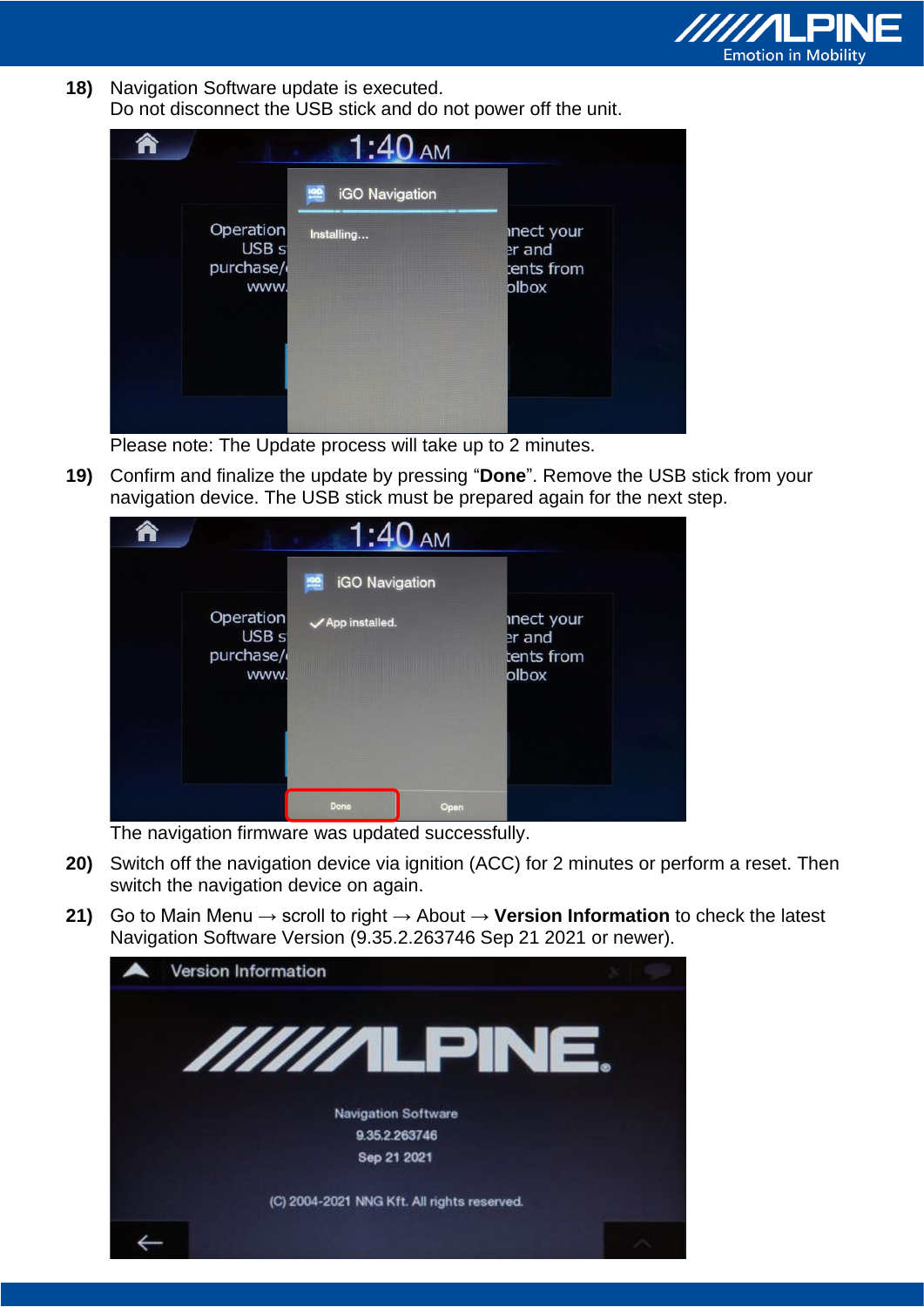

**18)** Navigation Software update is executed. Do not disconnect the USB stick and do not power off the unit.

|                                                    | <b>iGO</b> Navigation |                                            |
|----------------------------------------------------|-----------------------|--------------------------------------------|
| Operation<br>USB <sub>s</sub><br>purchase/<br>www. | Installing            | inect your<br>er and<br>ents from<br>olbox |
|                                                    |                       |                                            |

Please note: The Update process will take up to 2 minutes.

**19)** Confirm and finalize the update by pressing "**Done**". Remove the USB stick from your navigation device. The USB stick must be prepared again for the next step.

|                                                    | 1:40 <sub>AM</sub><br>iGO Navigation |                                             |
|----------------------------------------------------|--------------------------------------|---------------------------------------------|
| Operation<br>USB <sub>s</sub><br>purchase/<br>www. | √ App installed.                     | inect your<br>er and<br>tents from<br>olbox |
|                                                    | Done                                 | Open                                        |

The navigation firmware was updated successfully.

- **20)** Switch off the navigation device via ignition (ACC) for 2 minutes or perform a reset. Then switch the navigation device on again.
- **21)** Go to Main Menu → scroll to right → About → **Version Information** to check the latest Navigation Software Version (9.35.2.263746 Sep 21 2021 or newer).

| Version Information                         |  |
|---------------------------------------------|--|
| //////LPINE.                                |  |
| <b>Navigation Software</b>                  |  |
| 9.35.2.263746                               |  |
| Sep 21 2021                                 |  |
| (C) 2004-2021 NNG Kft. All rights reserved. |  |
|                                             |  |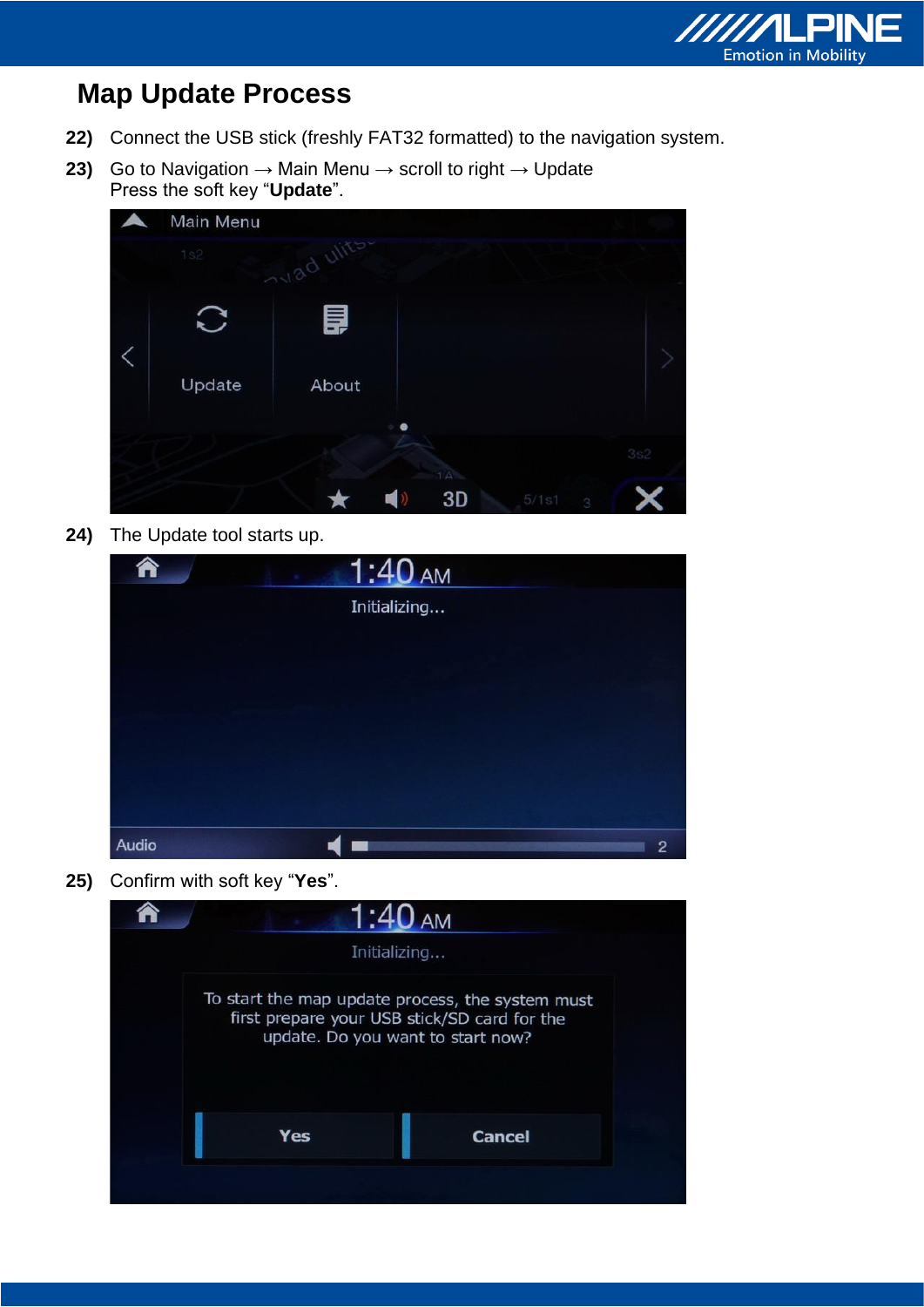

## **Map Update Process**

- **22)** Connect the USB stick (freshly FAT32 formatted) to the navigation system.
- **23)** Go to Navigation  $\rightarrow$  Main Menu  $\rightarrow$  scroll to right  $\rightarrow$  Update Press the soft key "**Update**".

| Main Menu |            |                       |     |
|-----------|------------|-----------------------|-----|
| 1s2       | avad ulits |                       |     |
|           | 目          |                       |     |
| Update    | About      |                       |     |
|           |            |                       |     |
|           |            | $1\,\mathrm{A}$       | 3s2 |
|           |            | 3D<br>5/1s1<br>m<br>3 |     |

**24)** The Update tool starts up.

| <mark>â</mark> | <u> 1:40 AM</u> |                |
|----------------|-----------------|----------------|
|                | Initializing    |                |
|                |                 |                |
|                |                 |                |
|                |                 |                |
|                |                 |                |
|                |                 |                |
| Audio          |                 | $\overline{2}$ |

**25)** Confirm with soft key "**Yes**".

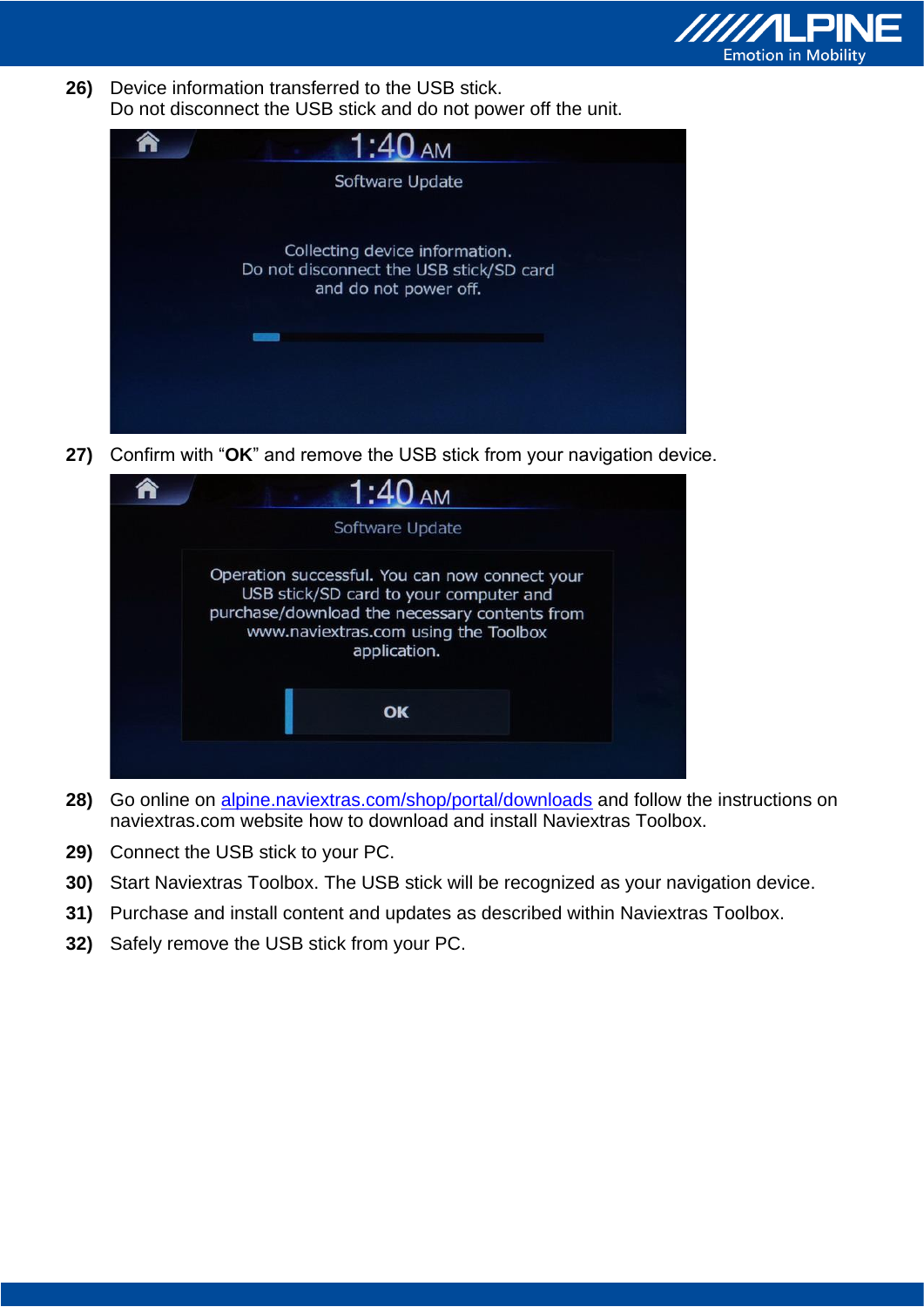

**26)** Device information transferred to the USB stick. Do not disconnect the USB stick and do not power off the unit.



**27)** Confirm with "**OK**" and remove the USB stick from your navigation device.



- **28)** Go online on alpine.naviextras.com/shop/portal/downloads and follow the instructions on naviextras.com website how to download and install Naviextras Toolbox.
- **29)** Connect the USB stick to your PC.
- **30)** Start Naviextras Toolbox. The USB stick will be recognized as your navigation device.
- **31)** Purchase and install content and updates as described within Naviextras Toolbox.
- **32)** Safely remove the USB stick from your PC.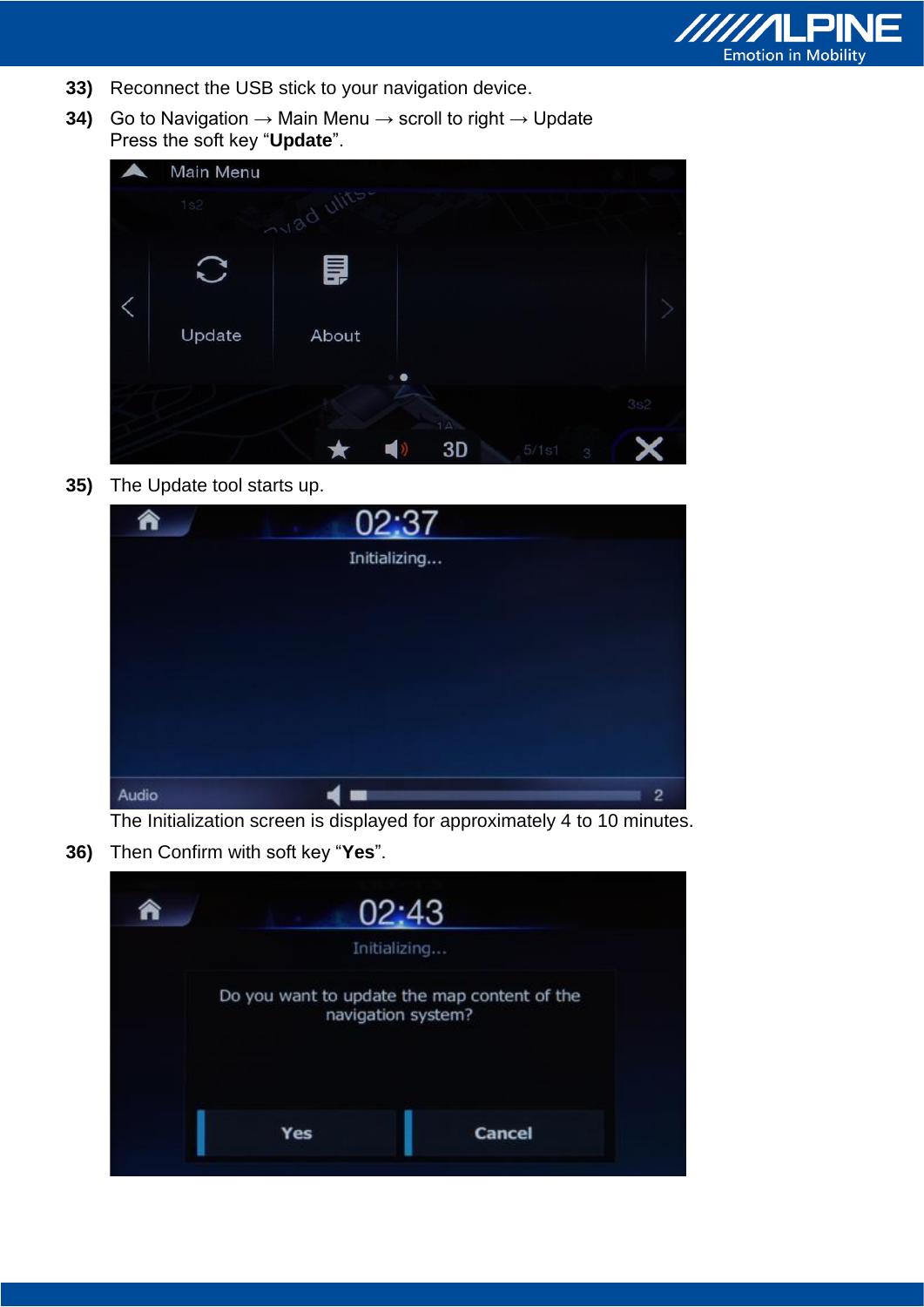

- **33)** Reconnect the USB stick to your navigation device.
- **34)** Go to Navigation → Main Menu → scroll to right → Update Press the soft key "**Update**".

| Main Menu |            |           |           |       |   |     |
|-----------|------------|-----------|-----------|-------|---|-----|
| 1s2       | avad ulits |           |           |       |   |     |
|           | 昌          |           |           |       |   |     |
| Update    | About      |           |           |       |   |     |
|           |            | $\bullet$ |           |       |   |     |
|           |            |           | $1\Delta$ |       |   | 3s2 |
|           |            |           | 3D        | 5/1s1 | 3 |     |

**35)** The Update tool starts up.

| €     | 02:37        |                |
|-------|--------------|----------------|
|       | Initializing |                |
|       |              |                |
|       |              |                |
|       |              |                |
|       |              |                |
|       |              |                |
| Audio |              | $\overline{c}$ |

The Initialization screen is displayed for approximately 4 to 10 minutes.

**36)** Then Confirm with soft key "**Yes**".